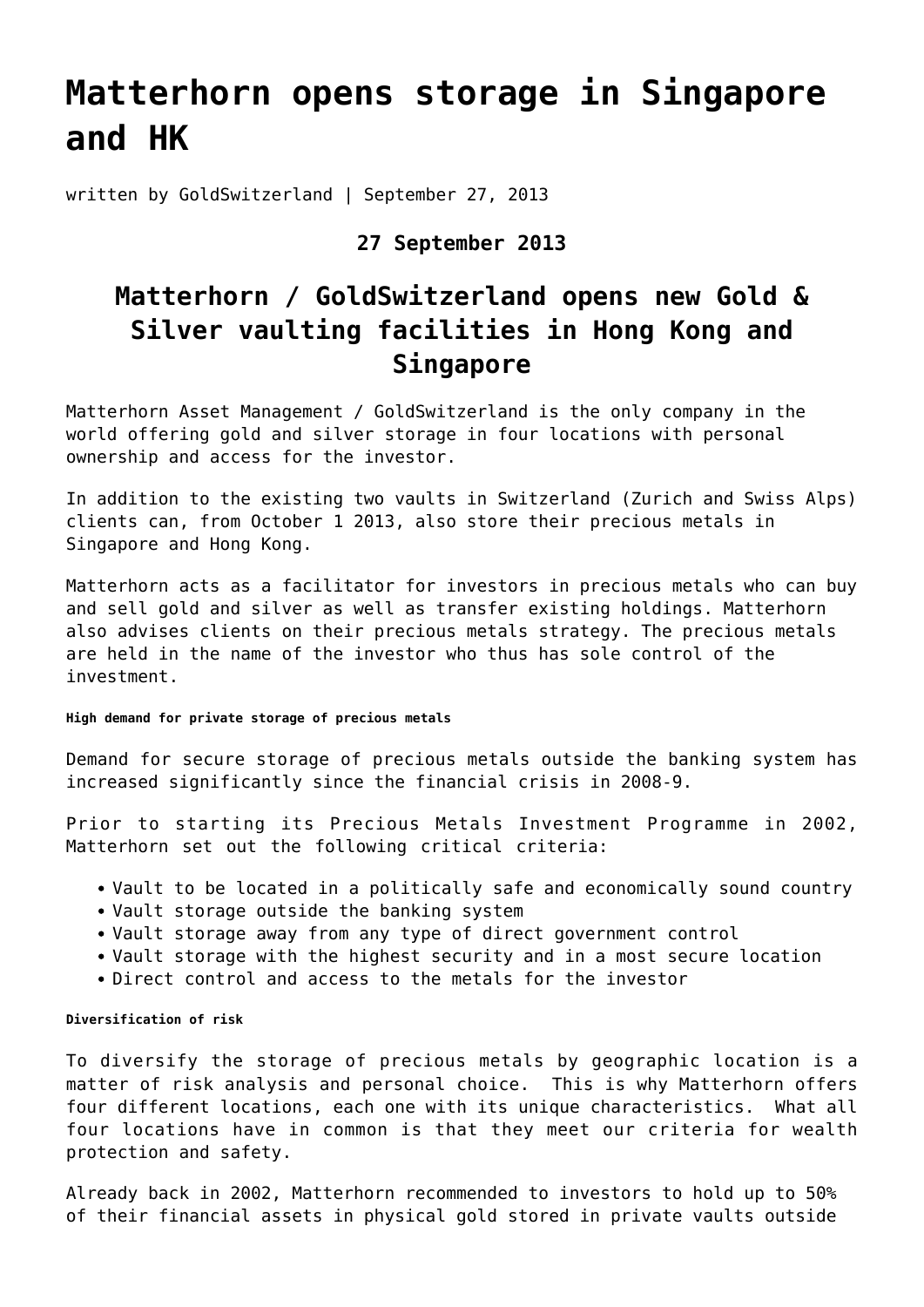# **[Matterhorn opens storage in Singapore](https://goldswitzerland.com/mam-starts-storage-in-singapore-and-hong-kong/) [and HK](https://goldswitzerland.com/mam-starts-storage-in-singapore-and-hong-kong/)**

written by GoldSwitzerland | September 27, 2013

### **27 September 2013**

## **Matterhorn / GoldSwitzerland opens new Gold & Silver vaulting facilities in Hong Kong and Singapore**

Matterhorn Asset Management / GoldSwitzerland is the only company in the world offering [gold and silver storage in four locations](https://goldswitzerland.com/storage-precious-metals/) with personal ownership and access for the investor.

In addition to the existing two vaults in Switzerland (Zurich and Swiss Alps) clients can, from October 1 2013, also store their precious metals in Singapore and Hong Kong.

Matterhorn acts as a facilitator for investors in precious metals who can [buy](https://goldswitzerland.com/buy-gold/) [and sell gold](https://goldswitzerland.com/buy-gold/) and silver as well as transfer existing holdings. Matterhorn also advises clients on their precious metals strategy. The precious metals are held in the name of the investor who thus has sole control of the investment.

#### **High demand for private storage of precious metals**

Demand for secure storage of precious metals outside the banking system has increased significantly since the financial crisis in 2008-9.

Prior to starting its Precious Metals Investment Programme in 2002, Matterhorn set out the following critical criteria:

- Vault to be located in a politically safe and economically sound country
- Vault storage outside the banking system
- Vault storage away from any type of direct government control
- Vault storage with the highest security and in a most secure location
- Direct control and access to the metals for the investor

#### **Diversification of risk**

To diversify the storage of precious metals by geographic location is a matter of risk analysis and personal choice. This is why Matterhorn offers four different locations, each one with its unique characteristics. What all four locations have in common is that they meet our criteria for wealth protection and safety.

Already back in 2002, Matterhorn recommended to investors to hold up to 50% of their financial assets in physical gold stored in private vaults outside